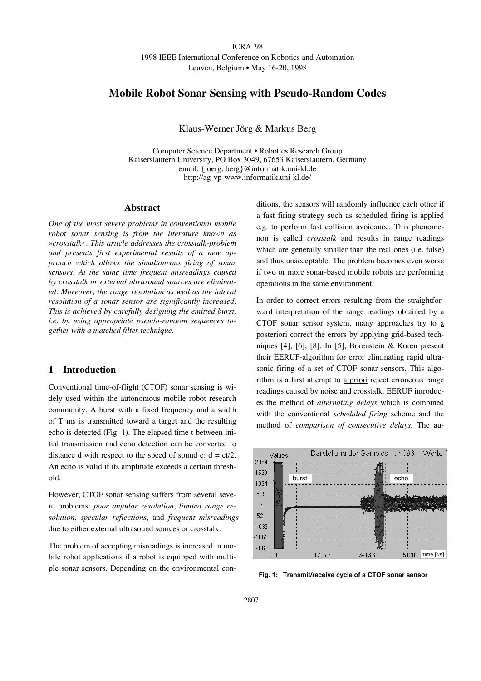### ICRA '98 1998 IEEE International Conference on Robotics and Automation Leuven, Belgium • May 16-20, 1998

### **Mobile Robot Sonar Sensing with Pseudo-Random Codes**

Klaus-Werner Jörg & Markus Berg

Computer Science Department • Robotics Research Group Kaiserslautern University, PO Box 3049, 67653 Kaiserslautern, Germany email: {joerg, berg}@informatik.uni-kl.de http://ag-vp-www.informatik.uni-kl.de/

#### **Abstract**

*One of the most severe problems in conventional mobile robot sonar sensing is from the literature known as »crosstalk«. This article addresses the crosstalk-problem and presents first experimental results of a new approach which allows the simultaneous firing of sonar sensors. At the same time frequent misreadings caused by crosstalk or external ultrasound sources are eliminated. Moreover, the range resolution as well as the lateral resolution of a sonar sensor are significantly increased. This is achieved by carefully designing the emitted burst, i.e. by using appropriate pseudo-random sequences together with a matched filter technique.*

### **1 Introduction**

Conventional time-of-flight (CTOF) sonar sensing is widely used within the autonomous mobile robot research community. A burst with a fixed frequency and a width of T ms is transmitted toward a target and the resulting echo is detected (Fig. 1). The elapsed time t between initial transmission and echo detection can be converted to distance d with respect to the speed of sound c:  $d = ct/2$ . An echo is valid if its amplitude exceeds a certain threshold.

However, CTOF sonar sensing suffers from several severe problems: *poor angular resolution*, *limited range resolution*, *specular reflections*, and *frequent misreadings* due to either external ultrasound sources or crosstalk.

The problem of accepting misreadings is increased in mobile robot applications if a robot is equipped with multiple sonar sensors. Depending on the environmental conditions, the sensors will randomly influence each other if a fast firing strategy such as scheduled firing is applied e.g. to perform fast collision avoidance. This phenomenon is called *crosstalk* and results in range readings which are generally smaller than the real ones (i.e. false) and thus unacceptable. The problem becomes even worse if two or more sonar-based mobile robots are performing operations in the same environment.

In order to correct errors resulting from the straightforward interpretation of the range readings obtained by a CTOF sonar sensor system, many approaches try to a posteriori correct the errors by applying grid-based techniques [4], [6], [8]. In [5], Borenstein & Koren present their EERUF-algorithm for error eliminating rapid ultrasonic firing of a set of CTOF sonar sensors. This algorithm is a first attempt to a priori reject erroneous range readings caused by noise and crosstalk. EERUF introduces the method of *alternating delays* which is combined with the conventional *scheduled firing* scheme and the method of *comparison of consecutive delays*. The au-



**Fig. 1: Transmit/receive cycle of a CTOF sonar sensor**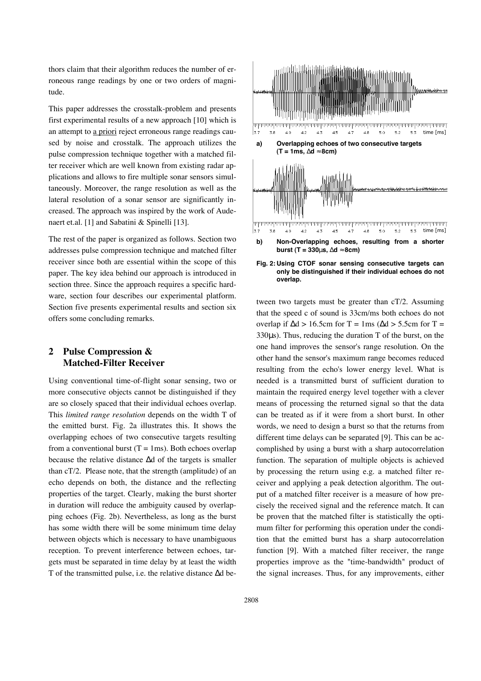thors claim that their algorithm reduces the number of erroneous range readings by one or two orders of magnitude.

This paper addresses the crosstalk-problem and presents first experimental results of a new approach [10] which is an attempt to a priori reject erroneous range readings caused by noise and crosstalk. The approach utilizes the pulse compression technique together with a matched filter receiver which are well known from existing radar applications and allows to fire multiple sonar sensors simultaneously. Moreover, the range resolution as well as the lateral resolution of a sonar sensor are significantly increased. The approach was inspired by the work of Audenaert et.al. [1] and Sabatini & Spinelli [13].

The rest of the paper is organized as follows. Section two addresses pulse compression technique and matched filter receiver since both are essential within the scope of this paper. The key idea behind our approach is introduced in section three. Since the approach requires a specific hardware, section four describes our experimental platform. Section five presents experimental results and section six offers some concluding remarks.

# **2 Pulse Compression & Matched-Filter Receiver**

Using conventional time-of-flight sonar sensing, two or more consecutive objects cannot be distinguished if they are so closely spaced that their individual echoes overlap. This *limited range resolution* depends on the width T of the emitted burst. Fig. 2a illustrates this. It shows the overlapping echoes of two consecutive targets resulting from a conventional burst  $(T = 1ms)$ . Both echoes overlap because the relative distance ∆d of the targets is smaller than cT/2. Please note, that the strength (amplitude) of an echo depends on both, the distance and the reflecting properties of the target. Clearly, making the burst shorter in duration will reduce the ambiguity caused by overlapping echoes (Fig. 2b). Nevertheless, as long as the burst has some width there will be some minimum time delay between objects which is necessary to have unambiguous reception. To prevent interference between echoes, targets must be separated in time delay by at least the width T of the transmitted pulse, i.e. the relative distance ∆d be-



**Fig. 2: Using CTOF sonar sensing consecutive targets can only be distinguished if their individual echoes do not overlap.**

tween two targets must be greater than cT/2. Assuming that the speed c of sound is 33cm/ms both echoes do not overlap if  $\Delta d > 16.5$ cm for T = 1ms ( $\Delta d > 5.5$ cm for T = 330µs). Thus, reducing the duration T of the burst, on the one hand improves the sensor's range resolution. On the other hand the sensor's maximum range becomes reduced resulting from the echo's lower energy level. What is needed is a transmitted burst of sufficient duration to maintain the required energy level together with a clever means of processing the returned signal so that the data can be treated as if it were from a short burst. In other words, we need to design a burst so that the returns from different time delays can be separated [9]. This can be accomplished by using a burst with a sharp autocorrelation function. The separation of multiple objects is achieved by processing the return using e.g. a matched filter receiver and applying a peak detection algorithm. The output of a matched filter receiver is a measure of how precisely the received signal and the reference match. It can be proven that the matched filter is statistically the optimum filter for performing this operation under the condition that the emitted burst has a sharp autocorrelation function [9]. With a matched filter receiver, the range properties improve as the "time-bandwidth" product of the signal increases. Thus, for any improvements, either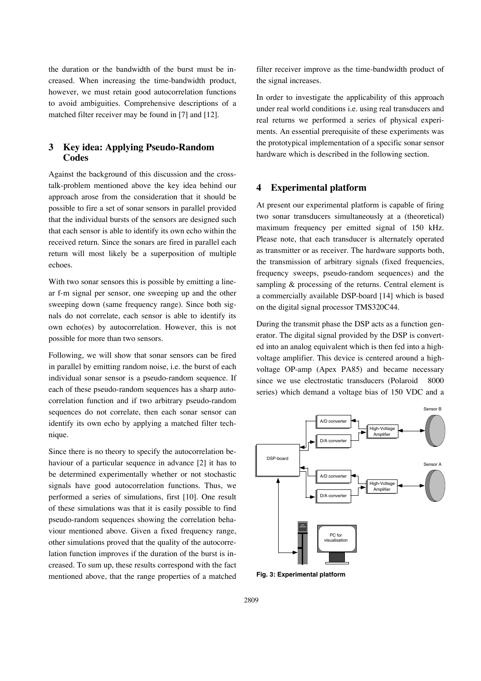the duration or the bandwidth of the burst must be increased. When increasing the time-bandwidth product, however, we must retain good autocorrelation functions to avoid ambiguities. Comprehensive descriptions of a matched filter receiver may be found in [7] and [12].

## **3 Key idea: Applying Pseudo-Random Codes**

Against the background of this discussion and the crosstalk-problem mentioned above the key idea behind our approach arose from the consideration that it should be possible to fire a set of sonar sensors in parallel provided that the individual bursts of the sensors are designed such that each sensor is able to identify its own echo within the received return. Since the sonars are fired in parallel each return will most likely be a superposition of multiple echoes.

With two sonar sensors this is possible by emitting a linear f-m signal per sensor, one sweeping up and the other sweeping down (same frequency range). Since both signals do not correlate, each sensor is able to identify its own echo(es) by autocorrelation. However, this is not possible for more than two sensors.

Following, we will show that sonar sensors can be fired in parallel by emitting random noise, i.e. the burst of each individual sonar sensor is a pseudo-random sequence. If each of these pseudo-random sequences has a sharp autocorrelation function and if two arbitrary pseudo-random sequences do not correlate, then each sonar sensor can identify its own echo by applying a matched filter technique.

Since there is no theory to specify the autocorrelation behaviour of a particular sequence in advance [2] it has to be determined experimentally whether or not stochastic signals have good autocorrelation functions. Thus, we performed a series of simulations, first [10]. One result of these simulations was that it is easily possible to find pseudo-random sequences showing the correlation behaviour mentioned above. Given a fixed frequency range, other simulations proved that the quality of the autocorrelation function improves if the duration of the burst is increased. To sum up, these results correspond with the fact mentioned above, that the range properties of a matched filter receiver improve as the time-bandwidth product of the signal increases.

In order to investigate the applicability of this approach under real world conditions i.e. using real transducers and real returns we performed a series of physical experiments. An essential prerequisite of these experiments was the prototypical implementation of a specific sonar sensor hardware which is described in the following section.

### **4 Experimental platform**

At present our experimental platform is capable of firing two sonar transducers simultaneously at a (theoretical) maximum frequency per emitted signal of 150 kHz. Please note, that each transducer is alternately operated as transmitter or as receiver. The hardware supports both, the transmission of arbitrary signals (fixed frequencies, frequency sweeps, pseudo-random sequences) and the sampling & processing of the returns. Central element is a commercially available DSP-board [14] which is based on the digital signal processor TMS320C44.

During the transmit phase the DSP acts as a function generator. The digital signal provided by the DSP is converted into an analog equivalent which is then fed into a highvoltage amplifier. This device is centered around a highvoltage OP-amp (Apex PA85) and became necessary since we use electrostatic transducers (Polaroid<sup>®</sup> 8000 series) which demand a voltage bias of 150 VDC and a



**Fig. 3: Experimental platform**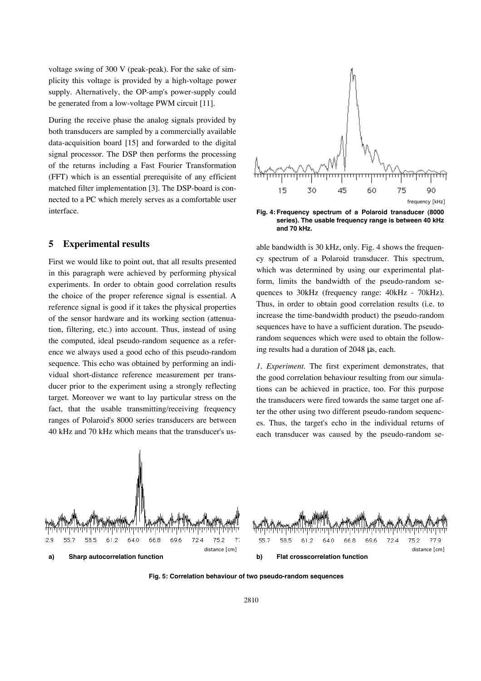voltage swing of 300 V (peak-peak). For the sake of simplicity this voltage is provided by a high-voltage power supply. Alternatively, the OP-amp's power-supply could be generated from a low-voltage PWM circuit [11].

During the receive phase the analog signals provided by both transducers are sampled by a commercially available data-acquisition board [15] and forwarded to the digital signal processor. The DSP then performs the processing of the returns including a Fast Fourier Transformation (FFT) which is an essential prerequisite of any efficient matched filter implementation [3]. The DSP-board is connected to a PC which merely serves as a comfortable user interface.

### **5 Experimental results**

First we would like to point out, that all results presented in this paragraph were achieved by performing physical experiments. In order to obtain good correlation results the choice of the proper reference signal is essential. A reference signal is good if it takes the physical properties of the sensor hardware and its working section (attenuation, filtering, etc.) into account. Thus, instead of using the computed, ideal pseudo-random sequence as a reference we always used a good echo of this pseudo-random sequence. This echo was obtained by performing an individual short-distance reference measurement per transducer prior to the experiment using a strongly reflecting target. Moreover we want to lay particular stress on the fact, that the usable transmitting/receiving frequency ranges of Polaroid's 8000 series transducers are between 40 kHz and 70 kHz which means that the transducer's us-



**Fig. 4: Frequency spectrum of a Polaroid transducer (8000 series). The usable frequency range is between 40 kHz and 70 kHz.**

able bandwidth is 30 kHz, only. Fig. 4 shows the frequency spectrum of a Polaroid transducer. This spectrum, which was determined by using our experimental platform, limits the bandwidth of the pseudo-random sequences to 30kHz (frequency range: 40kHz - 70kHz). Thus, in order to obtain good correlation results (i.e. to increase the time-bandwidth product) the pseudo-random sequences have to have a sufficient duration. The pseudorandom sequences which were used to obtain the following results had a duration of 2048 µs, each.

*1. Experiment*. The first experiment demonstrates, that the good correlation behaviour resulting from our simulations can be achieved in practice, too. For this purpose the transducers were fired towards the same target one after the other using two different pseudo-random sequences. Thus, the target's echo in the individual returns of each transducer was caused by the pseudo-random se-



**Fig. 5: Correlation behaviour of two pseudo-random sequences**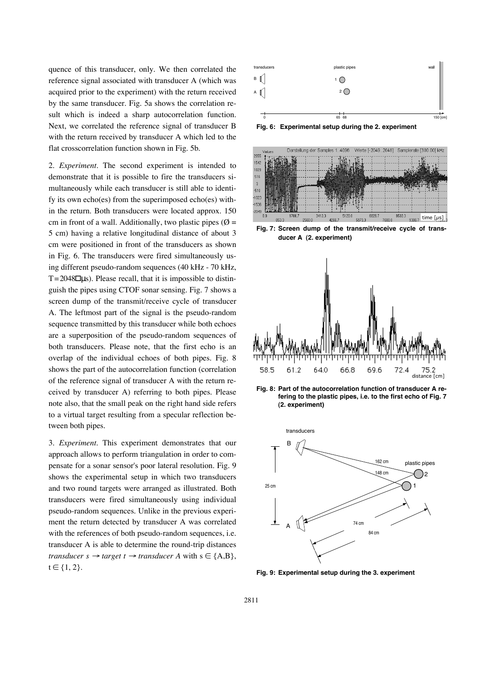quence of this transducer, only. We then correlated the reference signal associated with transducer A (which was acquired prior to the experiment) with the return received by the same transducer. Fig. 5a shows the correlation result which is indeed a sharp autocorrelation function. Next, we correlated the reference signal of transducer B with the return received by transducer A which led to the flat crosscorrelation function shown in Fig. 5b.

2. *Experiment.* The second experiment is intended to demonstrate that it is possible to fire the transducers simultaneously while each transducer is still able to identify its own echo(es) from the superimposed echo(es) within the return. Both transducers were located approx. 150 cm in front of a wall. Additionally, two plastic pipes ( $\emptyset$  = 5 cm) having a relative longitudinal distance of about 3 cm were positioned in front of the transducers as shown in Fig. 6. The transducers were fired simultaneously using different pseudo-random sequences (40 kHz - 70 kHz,  $T = 2048$  µs). Please recall, that it is impossible to distinguish the pipes using CTOF sonar sensing. Fig. 7 shows a screen dump of the transmit/receive cycle of transducer A. The leftmost part of the signal is the pseudo-random sequence transmitted by this transducer while both echoes are a superposition of the pseudo-random sequences of both transducers. Please note, that the first echo is an overlap of the individual echoes of both pipes. Fig. 8 shows the part of the autocorrelation function (correlation of the reference signal of transducer A with the return received by transducer A) referring to both pipes. Please note also, that the small peak on the right hand side refers to a virtual target resulting from a specular reflection between both pipes.

3. *Experiment.* This experiment demonstrates that our approach allows to perform triangulation in order to compensate for a sonar sensor's poor lateral resolution. Fig. 9 shows the experimental setup in which two transducers and two round targets were arranged as illustrated. Both transducers were fired simultaneously using individual pseudo-random sequences. Unlike in the previous experiment the return detected by transducer A was correlated with the references of both pseudo-random sequences, i.e. transducer A is able to determine the round-trip distances *transducer s*  $\rightarrow$  *target t*  $\rightarrow$  *transducer A* with s  $\in$  {A,B},  $t \in \{1, 2\}.$ 



**Fig. 6: Experimental setup during the 2. experiment**



**Fig. 7: Screen dump of the transmit/receive cycle of transducer A (2. experiment)**



**Fig. 8: Part of the autocorrelation function of transducer A refering to the plastic pipes, i.e. to the first echo of Fig. 7 (2. experiment)**



**Fig. 9: Experimental setup during the 3. experiment**